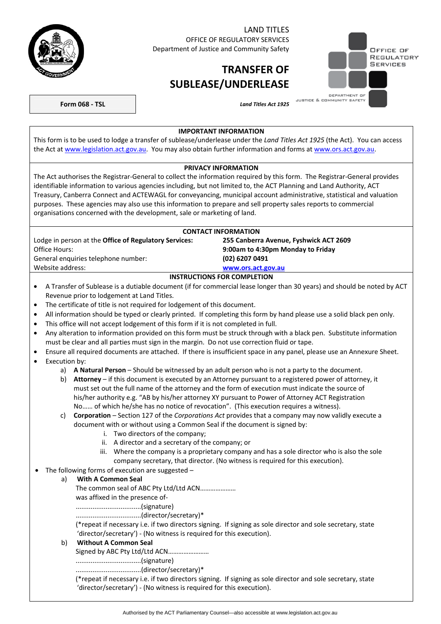

# LAND TITLES

OFFICE OF REGULATORY SERVICES Department of Justice and Community Safety

# **TRANSFER OF SUBLEASE/UNDERLEASE**



**Form 068 - TSL** *Land Titles Act 1925* 

#### **IMPORTANT INFORMATION**

This form is to be used to lodge a transfer of sublease/underlease under the *Land Titles Act 1925* (the Act). You can access the Act at [www.legislation.act.gov.au](http://www.legislation.act.gov.au/). You may also obtain further information and forms at [www.ors.act.gov.au](http://www.ors.act.gov.au/).

## **PRIVACY INFORMATION**

The Act authorises the Registrar-General to collect the information required by this form. The Registrar-General provides identifiable information to various agencies including, but not limited to, the ACT Planning and Land Authority, ACT Treasury, Canberra Connect and ACTEWAGL for conveyancing, municipal account administrative, statistical and valuation purposes. These agencies may also use this information to prepare and sell property sales reports to commercial organisations concerned with the development, sale or marketing of land.

| <b>CONTACT INFORMATION</b>                                   |                                        |  |  |
|--------------------------------------------------------------|----------------------------------------|--|--|
| Lodge in person at the <b>Office of Regulatory Services:</b> | 255 Canberra Avenue, Fyshwick ACT 2609 |  |  |
| Office Hours:                                                | 9:00am to 4:30pm Monday to Friday      |  |  |
| (02) 6207 0491<br>General enguiries telephone number:        |                                        |  |  |
| Website address:                                             | www.ors.act.gov.au                     |  |  |
| <b>INSTRUCTIONS FOR COMPLETION</b>                           |                                        |  |  |

- A Transfer of Sublease is a dutiable document (if for commercial lease longer than 30 years) and should be noted by ACT Revenue prior to lodgement at Land Titles.
- The certificate of title is not required for lodgement of this document.
- All information should be typed or clearly printed. If completing this form by hand please use a solid black pen only.
- This office will not accept lodgement of this form if it is not completed in full.
- Any alteration to information provided on this form must be struck through with a black pen. Substitute information must be clear and all parties must sign in the margin. Do not use correction fluid or tape.
- Ensure all required documents are attached. If there is insufficient space in any panel, please use an Annexure Sheet.
- Execution by:
	- a) **A Natural Person** Should be witnessed by an adult person who is not a party to the document.
	- b) **Attorney** if this document is executed by an Attorney pursuant to a registered power of attorney, it must set out the full name of the attorney and the form of execution must indicate the source of his/her authority e.g. "AB by his/her attorney XY pursuant to Power of Attorney ACT Registration No…… of which he/she has no notice of revocation". (This execution requires a witness).
	- c) **Corporation** Section 127 of the *Corporations Act* provides that a company may now validly execute a document with or without using a Common Seal if the document is signed by:
		- i. Two directors of the company;
		- ii. A director and a secretary of the company; or
		- iii. Where the company is a proprietary company and has a sole director who is also the sole company secretary, that director. (No witness is required for this execution).
- The following forms of execution are suggested -

### a) **With A Common Seal**

The common seal of ABC Pty Ltd/Ltd ACN………………… was affixed in the presence of- ...................................(signature) ...................................(director/secretary)\* (\*repeat if necessary i.e. if two directors signing. If signing as sole director and sole secretary, state 'director/secretary') - (No witness is required for this execution). b) **Without A Common Seal**  Signed by ABC Pty Ltd/Ltd ACN……………………

#### ...................................(signature)

...................................(director/secretary)\*

(\*repeat if necessary i.e. if two directors signing. If signing as sole director and sole secretary, state 'director/secretary') - (No witness is required for this execution).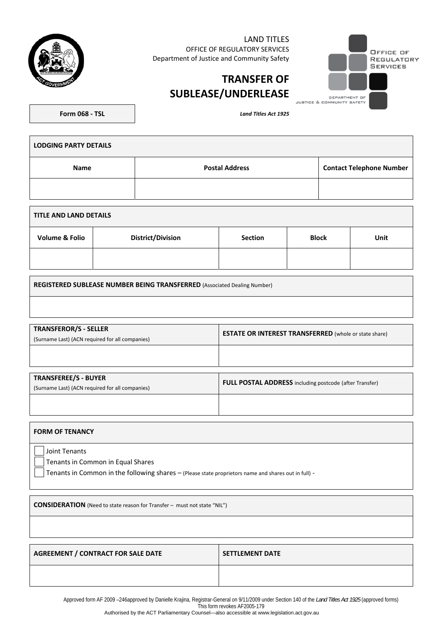| LAND TITLES<br>OFFICE OF REGULATORY SERVICES<br>Department of Justice and Community Safety |                            | OFFICE OF<br>REGULATORY<br><b>SERVICES</b> |
|--------------------------------------------------------------------------------------------|----------------------------|--------------------------------------------|
| <b>TRANSFER OF</b><br><b>SUBLEASE/UNDERLEASE</b>                                           | DEPARTMENT OF              |                                            |
|                                                                                            | JUSTICE & COMMUNITY SAFETY |                                            |

| <b>Form 068 - TSL</b> |  |
|-----------------------|--|

**Form 068 - TSL** *Land Titles Act 1925* 

| <b>LODGING PARTY DETAILS</b> |                       |                                 |  |
|------------------------------|-----------------------|---------------------------------|--|
| <b>Name</b>                  | <b>Postal Address</b> | <b>Contact Telephone Number</b> |  |
|                              |                       |                                 |  |
|                              |                       |                                 |  |

| TITLE AND LAND DETAILS    |                          |                |              |      |
|---------------------------|--------------------------|----------------|--------------|------|
| <b>Volume &amp; Folio</b> | <b>District/Division</b> | <b>Section</b> | <b>Block</b> | Unit |
|                           |                          |                |              |      |

**REGISTERED SUBLEASE NUMBER BEING TRANSFERRED** (Associated Dealing Number)

| TRANSFEROR/S - SELLER<br>(Surname Last) (ACN required for all companies) | <b>ESTATE OR INTEREST TRANSFERRED</b> (whole or state share) |  |
|--------------------------------------------------------------------------|--------------------------------------------------------------|--|
|                                                                          |                                                              |  |

| <b>TRANSFEREE/S - BUYER</b><br>(Surname Last) (ACN required for all companies) | FULL POSTAL ADDRESS including postcode (after Transfer) |  |
|--------------------------------------------------------------------------------|---------------------------------------------------------|--|
|                                                                                |                                                         |  |

| <b>FORM OF TENANCY</b>                                                                                                                                     |
|------------------------------------------------------------------------------------------------------------------------------------------------------------|
| Joint Tenants<br>Tenants in Common in Equal Shares<br>Tenants in Common in the following shares - (Please state proprietors name and shares out in full) - |
| <b>CONSIDERATION</b> (Need to state reason for Transfer – must not state "NIL")                                                                            |

AGREEMENT / CONTRACT FOR SALE DATE **SETTLEMENT DATE** 

Approved form AF 2009 –246approved by Danielle Krajina, Registrar-General on 9/11/2009 under Section 140 of the *Land Titles Act 1925* (approved forms) This form revokes AF2005-179

Authorised by the ACT Parliamentary Counsel—also accessible at www.legislation.act.gov.au